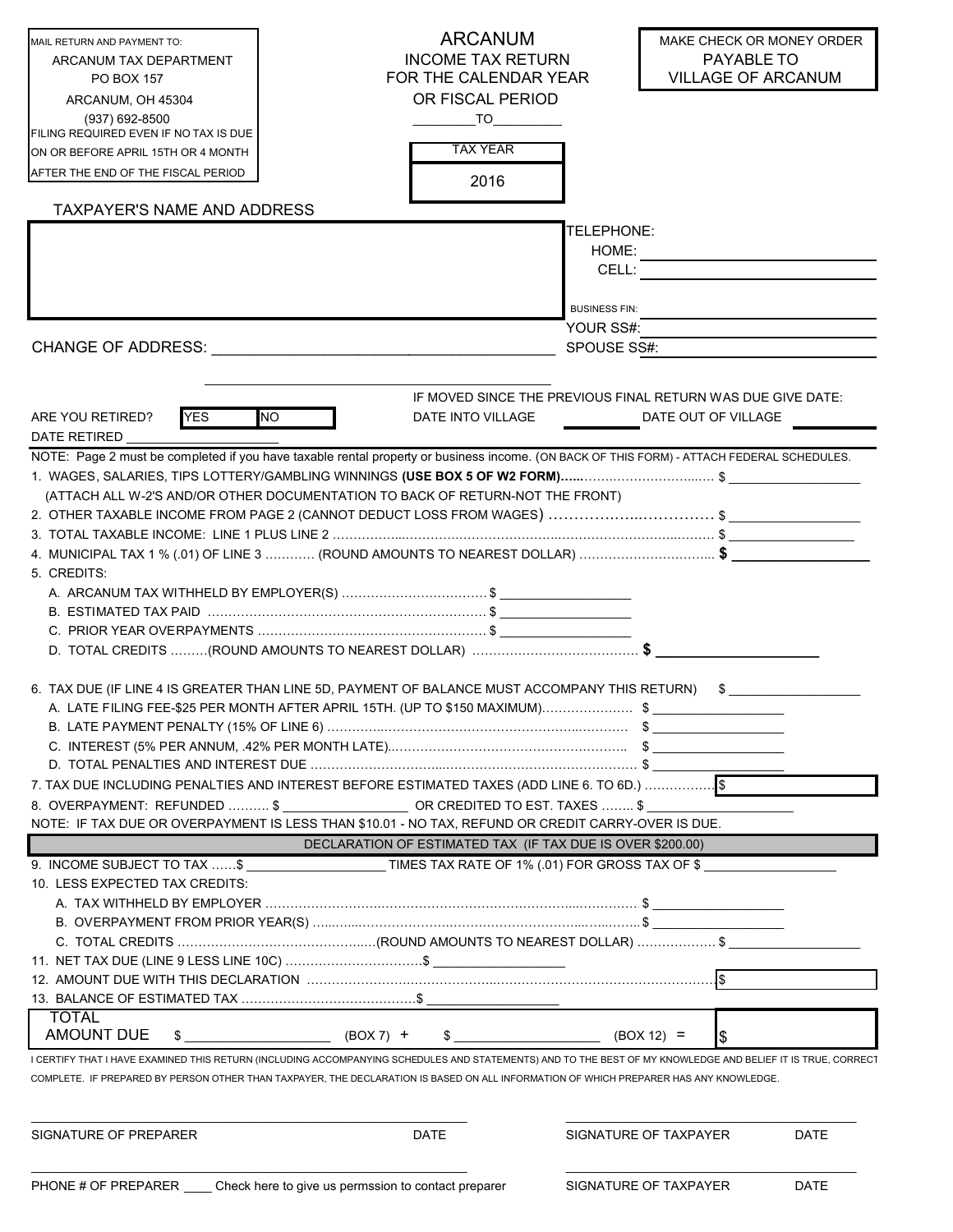| MAIL RETURN AND PAYMENT TO:                                                                                                                                                                                                    |                                                                                | <b>ARCANUM</b>                                                                                                                                                                                                                 | MAKE CHECK OR MONEY ORDER                                                          |      |
|--------------------------------------------------------------------------------------------------------------------------------------------------------------------------------------------------------------------------------|--------------------------------------------------------------------------------|--------------------------------------------------------------------------------------------------------------------------------------------------------------------------------------------------------------------------------|------------------------------------------------------------------------------------|------|
| ARCANUM TAX DEPARTMENT                                                                                                                                                                                                         |                                                                                | <b>INCOME TAX RETURN</b>                                                                                                                                                                                                       | PAYABLE TO                                                                         |      |
| PO BOX 157                                                                                                                                                                                                                     |                                                                                | FOR THE CALENDAR YEAR                                                                                                                                                                                                          | <b>VILLAGE OF ARCANUM</b>                                                          |      |
| ARCANUM, OH 45304                                                                                                                                                                                                              |                                                                                | OR FISCAL PERIOD                                                                                                                                                                                                               |                                                                                    |      |
| (937) 692-8500<br>FILING REQUIRED EVEN IF NO TAX IS DUE                                                                                                                                                                        |                                                                                | TO the contract of the contract of the contract of the contract of the contract of the contract of the contract of the contract of the contract of the contract of the contract of the contract of the contract of the contrac |                                                                                    |      |
| ON OR BEFORE APRIL 15TH OR 4 MONTH                                                                                                                                                                                             |                                                                                | <b>TAX YEAR</b>                                                                                                                                                                                                                |                                                                                    |      |
| AFTER THE END OF THE FISCAL PERIOD                                                                                                                                                                                             |                                                                                |                                                                                                                                                                                                                                |                                                                                    |      |
|                                                                                                                                                                                                                                |                                                                                | 2016                                                                                                                                                                                                                           |                                                                                    |      |
| TAXPAYER'S NAME AND ADDRESS                                                                                                                                                                                                    |                                                                                |                                                                                                                                                                                                                                |                                                                                    |      |
|                                                                                                                                                                                                                                |                                                                                | TELEPHONE:                                                                                                                                                                                                                     |                                                                                    |      |
|                                                                                                                                                                                                                                |                                                                                | HOME:                                                                                                                                                                                                                          |                                                                                    |      |
|                                                                                                                                                                                                                                |                                                                                | CELL:                                                                                                                                                                                                                          |                                                                                    |      |
|                                                                                                                                                                                                                                |                                                                                | <b>BUSINESS FIN:</b>                                                                                                                                                                                                           |                                                                                    |      |
|                                                                                                                                                                                                                                |                                                                                | YOUR SS#:                                                                                                                                                                                                                      |                                                                                    |      |
| CHANGE OF ADDRESS: The contract of the contract of the contract of the contract of the contract of the contract of the contract of the contract of the contract of the contract of the contract of the contract of the contrac |                                                                                | SPOUSE SS#:                                                                                                                                                                                                                    |                                                                                    |      |
|                                                                                                                                                                                                                                |                                                                                |                                                                                                                                                                                                                                |                                                                                    |      |
|                                                                                                                                                                                                                                |                                                                                |                                                                                                                                                                                                                                |                                                                                    |      |
| <b>YES</b><br>ARE YOU RETIRED?                                                                                                                                                                                                 | <b>NO</b><br>DATE INTO VILLAGE                                                 |                                                                                                                                                                                                                                | IF MOVED SINCE THE PREVIOUS FINAL RETURN WAS DUE GIVE DATE:<br>DATE OUT OF VILLAGE |      |
| DATE RETIRED                                                                                                                                                                                                                   |                                                                                |                                                                                                                                                                                                                                |                                                                                    |      |
| NOTE: Page 2 must be completed if you have taxable rental property or business income. (ON BACK OF THIS FORM) - ATTACH FEDERAL SCHEDULES.                                                                                      |                                                                                |                                                                                                                                                                                                                                |                                                                                    |      |
| 1. WAGES, SALARIES, TIPS LOTTERY/GAMBLING WINNINGS <b>(USE BOX 5 OF W2 FORM)……</b> …………………………………… \$                                                                                                                           |                                                                                |                                                                                                                                                                                                                                |                                                                                    |      |
| (ATTACH ALL W-2'S AND/OR OTHER DOCUMENTATION TO BACK OF RETURN-NOT THE FRONT)                                                                                                                                                  |                                                                                |                                                                                                                                                                                                                                |                                                                                    |      |
| 2. OTHER TAXABLE INCOME FROM PAGE 2 (CANNOT DEDUCT LOSS FROM WAGES) \$                                                                                                                                                         |                                                                                |                                                                                                                                                                                                                                |                                                                                    |      |
|                                                                                                                                                                                                                                |                                                                                |                                                                                                                                                                                                                                |                                                                                    |      |
| 4. MUNICIPAL TAX 1 % (.01) OF LINE 3  (ROUND AMOUNTS TO NEAREST DOLLAR) \$                                                                                                                                                     |                                                                                |                                                                                                                                                                                                                                |                                                                                    |      |
| 5. CREDITS:                                                                                                                                                                                                                    |                                                                                |                                                                                                                                                                                                                                |                                                                                    |      |
|                                                                                                                                                                                                                                |                                                                                |                                                                                                                                                                                                                                |                                                                                    |      |
|                                                                                                                                                                                                                                |                                                                                |                                                                                                                                                                                                                                |                                                                                    |      |
|                                                                                                                                                                                                                                |                                                                                |                                                                                                                                                                                                                                |                                                                                    |      |
|                                                                                                                                                                                                                                |                                                                                |                                                                                                                                                                                                                                |                                                                                    |      |
| 6. TAX DUE (IF LINE 4 IS GREATER THAN LINE 5D, PAYMENT OF BALANCE MUST ACCOMPANY THIS RETURN) \$                                                                                                                               |                                                                                |                                                                                                                                                                                                                                |                                                                                    |      |
|                                                                                                                                                                                                                                |                                                                                |                                                                                                                                                                                                                                |                                                                                    |      |
|                                                                                                                                                                                                                                |                                                                                |                                                                                                                                                                                                                                |                                                                                    |      |
|                                                                                                                                                                                                                                |                                                                                |                                                                                                                                                                                                                                |                                                                                    |      |
|                                                                                                                                                                                                                                |                                                                                |                                                                                                                                                                                                                                |                                                                                    |      |
| 7. TAX DUE INCLUDING PENALTIES AND INTEREST BEFORE ESTIMATED TAXES (ADD LINE 6. TO 6D.)                                                                                                                                        |                                                                                |                                                                                                                                                                                                                                |                                                                                    |      |
| 8. OVERPAYMENT: REFUNDED ………… \$_____________________OR CREDITED TO EST. TAXES ……… \$_________________                                                                                                                         |                                                                                |                                                                                                                                                                                                                                |                                                                                    |      |
| NOTE: IF TAX DUE OR OVERPAYMENT IS LESS THAN \$10.01 - NO TAX, REFUND OR CREDIT CARRY-OVER IS DUE.                                                                                                                             |                                                                                |                                                                                                                                                                                                                                |                                                                                    |      |
|                                                                                                                                                                                                                                | DECLARATION OF ESTIMATED TAX (IF TAX DUE IS OVER \$200.00)                     |                                                                                                                                                                                                                                |                                                                                    |      |
| 9. INCOME SUBJECT TO TAX \$ TIMES TAX RATE OF 1% (.01) FOR GROSS TAX OF \$                                                                                                                                                     |                                                                                |                                                                                                                                                                                                                                |                                                                                    |      |
| 10. LESS EXPECTED TAX CREDITS:                                                                                                                                                                                                 |                                                                                |                                                                                                                                                                                                                                |                                                                                    |      |
|                                                                                                                                                                                                                                |                                                                                |                                                                                                                                                                                                                                |                                                                                    |      |
|                                                                                                                                                                                                                                | C. TOTAL CREDITS ……………………………………………(ROUND AMOUNTS TO NEAREST DOLLAR) ……………………\$ |                                                                                                                                                                                                                                |                                                                                    |      |
|                                                                                                                                                                                                                                |                                                                                |                                                                                                                                                                                                                                |                                                                                    |      |
|                                                                                                                                                                                                                                |                                                                                |                                                                                                                                                                                                                                |                                                                                    |      |
|                                                                                                                                                                                                                                |                                                                                |                                                                                                                                                                                                                                |                                                                                    |      |
| <b>TOTAL</b>                                                                                                                                                                                                                   |                                                                                |                                                                                                                                                                                                                                |                                                                                    |      |
| <b>AMOUNT DUE</b><br>S.                                                                                                                                                                                                        | $(BOX 7) +$                                                                    |                                                                                                                                                                                                                                | $(BOX 12) =$                                                                       |      |
| I CERTIFY THAT I HAVE EXAMINED THIS RETURN (INCLUDING ACCOMPANYING SCHEDULES AND STATEMENTS) AND TO THE BEST OF MY KNOWLEDGE AND BELIEF IT IS TRUE, CORRECT                                                                    |                                                                                |                                                                                                                                                                                                                                |                                                                                    |      |
| COMPLETE. IF PREPARED BY PERSON OTHER THAN TAXPAYER, THE DECLARATION IS BASED ON ALL INFORMATION OF WHICH PREPARER HAS ANY KNOWLEDGE.                                                                                          |                                                                                |                                                                                                                                                                                                                                |                                                                                    |      |
|                                                                                                                                                                                                                                |                                                                                |                                                                                                                                                                                                                                |                                                                                    |      |
|                                                                                                                                                                                                                                |                                                                                |                                                                                                                                                                                                                                |                                                                                    |      |
| SIGNATURE OF PREPARER                                                                                                                                                                                                          | DATE                                                                           |                                                                                                                                                                                                                                | SIGNATURE OF TAXPAYER                                                              | DATE |
|                                                                                                                                                                                                                                |                                                                                |                                                                                                                                                                                                                                |                                                                                    |      |